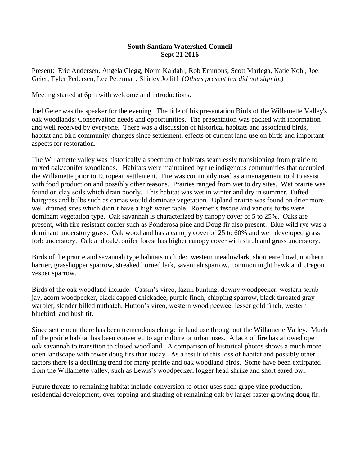## **South Santiam Watershed Council Sept 21 2016**

Present: Eric Andersen, Angela Clegg, Norm Kaldahl, Rob Emmons, Scott Marlega, Katie Kohl, Joel Geier, Tyler Pedersen, Lee Peterman, Shirley Jolliff (*Others present but did not sign in.)*

Meeting started at 6pm with welcome and introductions.

Joel Geier was the speaker for the evening. The title of his presentation Birds of the Willamette Valley's oak woodlands: Conservation needs and opportunities. The presentation was packed with information and well received by everyone. There was a discussion of historical habitats and associated birds, habitat and bird community changes since settlement, effects of current land use on birds and important aspects for restoration.

The Willamette valley was historically a spectrum of habitats seamlessly transitioning from prairie to mixed oak/conifer woodlands. Habitats were maintained by the indigenous communities that occupied the Willamette prior to European settlement. Fire was commonly used as a management tool to assist with food production and possibly other reasons. Prairies ranged from wet to dry sites. Wet prairie was found on clay soils which drain poorly. This habitat was wet in winter and dry in summer. Tufted hairgrass and bulbs such as camas would dominate vegetation. Upland prairie was found on drier more well drained sites which didn't have a high water table. Roemer's fescue and various forbs were dominant vegetation type. Oak savannah is characterized by canopy cover of 5 to 25%. Oaks are present, with fire resistant confer such as Ponderosa pine and Doug fir also present. Blue wild rye was a dominant understory grass. Oak woodland has a canopy cover of 25 to 60% and well developed grass forb understory. Oak and oak/conifer forest has higher canopy cover with shrub and grass understory.

Birds of the prairie and savannah type habitats include: western meadowlark, short eared owl, northern harrier, grasshopper sparrow, streaked horned lark, savannah sparrow, common night hawk and Oregon vesper sparrow.

Birds of the oak woodland include: Cassin's vireo, lazuli bunting, downy woodpecker, western scrub jay, acorn woodpecker, black capped chickadee, purple finch, chipping sparrow, black throated gray warbler, slender billed nuthatch, Hutton's vireo, western wood peewee, lesser gold finch, western bluebird, and bush tit.

Since settlement there has been tremendous change in land use throughout the Willamette Valley. Much of the prairie habitat has been converted to agriculture or urban uses. A lack of fire has allowed open oak savannah to transition to closed woodland. A comparison of historical photos shows a much more open landscape with fewer doug firs than today. As a result of this loss of habitat and possibly other factors there is a declining trend for many prairie and oak woodland birds. Some have been extirpated from the Willamette valley, such as Lewis's woodpecker, logger head shrike and short eared owl.

Future threats to remaining habitat include conversion to other uses such grape vine production, residential development, over topping and shading of remaining oak by larger faster growing doug fir.